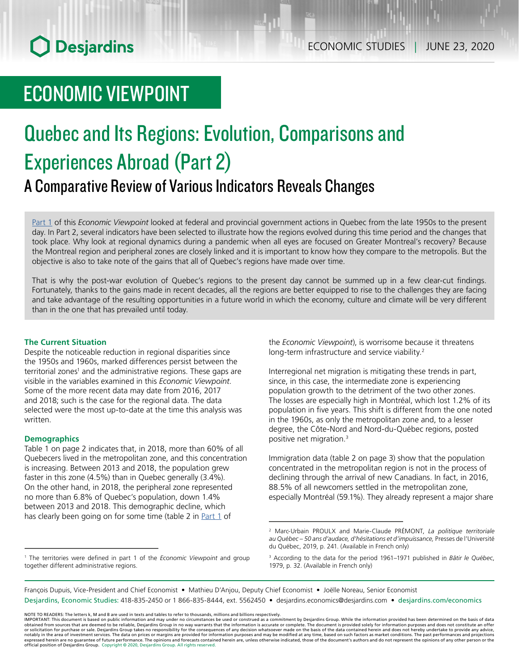# ECONOMIC VIEWPOINT

# Quebec and Its Regions: Evolution, Comparisons and Experiences Abroad (Part 2) A Comparative Review of Various Indicators Reveals Changes

[Part 1](https://www.desjardins.com/ressources/pdf/pv062011e.pdf?resVer=1591975844000) of this *Economic Viewpoint* looked at federal and provincial government actions in Quebec from the late 1950s to the present day. In Part 2, several indicators have been selected to illustrate how the regions evolved during this time period and the changes that took place. Why look at regional dynamics during a pandemic when all eyes are focused on Greater Montreal's recovery? Because the Montreal region and peripheral zones are closely linked and it is important to know how they compare to the metropolis. But the objective is also to take note of the gains that all of Quebec's regions have made over time.

That is why the post-war evolution of Quebec's regions to the present day cannot be summed up in a few clear-cut findings. Fortunately, thanks to the gains made in recent decades, all the regions are better equipped to rise to the challenges they are facing and take advantage of the resulting opportunities in a future world in which the economy, culture and climate will be very different than in the one that has prevailed until today.

### **The Current Situation**

Despite the noticeable reduction in regional disparities since the 1950s and 1960s, marked differences persist between the territorial zones<sup>1</sup> and the administrative regions. These gaps are visible in the variables examined in this *Economic Viewpoint*. Some of the more recent data may date from 2016, 2017 and 2018; such is the case for the regional data. The data selected were the most up-to-date at the time this analysis was written.

#### **Demographics**

Table 1 on page 2 indicates that, in 2018, more than 60% of all Quebecers lived in the metropolitan zone, and this concentration is increasing. Between 2013 and 2018, the population grew faster in this zone (4.5%) than in Quebec generally (3.4%). On the other hand, in 2018, the peripheral zone represented no more than 6.8% of Quebec's population, down 1.4% between 2013 and 2018. This demographic decline, which has clearly been going on for some time (table 2 in  $Part 1$  of

the *Economic Viewpoint*), is worrisome because it threatens long-term infrastructure and service viability.<sup>2</sup>

Interregional net migration is mitigating these trends in part, since, in this case, the intermediate zone is experiencing population growth to the detriment of the two other zones. The losses are especially high in Montréal, which lost 1.2% of its population in five years. This shift is different from the one noted in the 1960s, as only the metropolitan zone and, to a lesser degree, the Côte-Nord and Nord-du-Québec regions, posted positive net migration.3

Immigration data (table 2 on page 3) show that the population concentrated in the metropolitan region is not in the process of declining through the arrival of new Canadians. In fact, in 2016, 88.5% of all newcomers settled in the metropolitan zone, especially Montréal (59.1%). They already represent a major share

François Dupuis, Vice-President and Chief Economist • Mathieu D'Anjou, Deputy Chief Economist • Joëlle Noreau, Senior Economist Desjardins, Economic Studies: 418-835-2450 or 1 866-835-8444, ext. 5562450 • desjardins.economics@desjardins.com • desjardins.com/economics

<sup>1</sup> The territories were defined in part 1 of the *Economic Viewpoint* and group together different administrative regions.

<sup>2</sup> Marc-Urbain PROULX and Marie-Claude PRÉMONT, *La politique territoriale au Québec – 50 ans d'audace, d'hésitations et d'impuissance,* Presses de l'Université du Québec, 2019, p. 241. (Available in French only)

<sup>3</sup> According to the data for the period 1961–1971 published in *Bâtir le Québec*, 1979, p. 32. (Available in French only)

NOTE TO READERS: The letters k, M and B are used in texts and tables to refer to thousands, millions and billions respectively.<br>IMPORTANT: This document is based on public information and may under no circumstances be used obtained from sources that are deemed to be reliable, Desjardins Group in no way warrants that the information is accurate or complete. The document is provided solely for information purposes and does not constitute an of expressed herein are no guarantee of future performance. The opinions and forecasts contained herein are, unless otherwise indicated, those of the document's authors and do not represent the opinions of any other person or official position of Desjardins Group. Copyright © 2020, Desjardins Group. All rights reserved.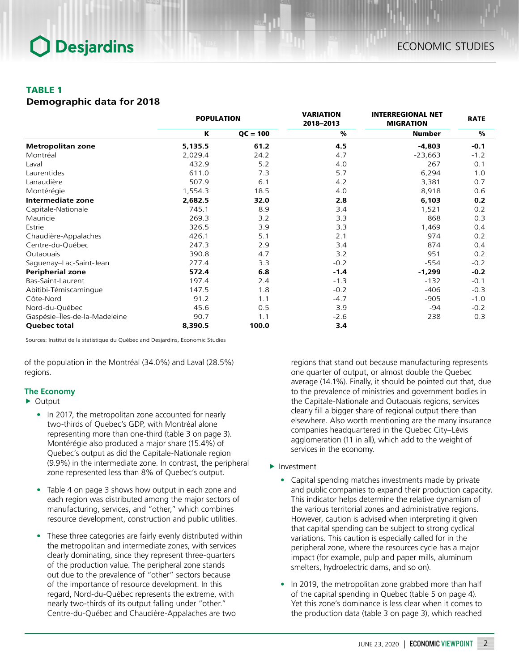## TABLE 1

*Demographic data for 2018*

|                               | <b>POPULATION</b> |            | <b>VARIATION</b><br>2018-2013 | <b>INTERREGIONAL NET</b><br><b>MIGRATION</b> | <b>RATE</b> |
|-------------------------------|-------------------|------------|-------------------------------|----------------------------------------------|-------------|
|                               | K                 | $QC = 100$ | $\frac{9}{6}$                 | <b>Number</b>                                | %           |
| <b>Metropolitan zone</b>      | 5,135.5           | 61.2       | 4.5                           | $-4,803$                                     | $-0.1$      |
| Montréal                      | 2,029.4           | 24.2       | 4.7                           | $-23,663$                                    | $-1.2$      |
| Laval                         | 432.9             | 5.2        | 4.0                           | 267                                          | 0.1         |
| Laurentides                   | 611.0             | 7.3        | 5.7                           | 6,294                                        | 1.0         |
| Lanaudière                    | 507.9             | 6.1        | 4.2                           | 3,381                                        | 0.7         |
| Montérégie                    | 1,554.3           | 18.5       | 4.0                           | 8,918                                        | 0.6         |
| Intermediate zone             | 2,682.5           | 32.0       | 2.8                           | 6,103                                        | 0.2         |
| Capitale-Nationale            | 745.1             | 8.9        | 3.4                           | 1,521                                        | 0.2         |
| Mauricie                      | 269.3             | 3.2        | 3.3                           | 868                                          | 0.3         |
| Estrie                        | 326.5             | 3.9        | 3.3                           | 1,469                                        | 0.4         |
| Chaudière-Appalaches          | 426.1             | 5.1        | 2.1                           | 974                                          | 0.2         |
| Centre-du-Québec              | 247.3             | 2.9        | 3.4                           | 874                                          | 0.4         |
| Outaouais                     | 390.8             | 4.7        | 3.2                           | 951                                          | 0.2         |
| Saguenay-Lac-Saint-Jean       | 277.4             | 3.3        | $-0.2$                        | -554                                         | $-0.2$      |
| <b>Peripherial zone</b>       | 572.4             | 6.8        | $-1.4$                        | $-1,299$                                     | $-0.2$      |
| Bas-Saint-Laurent             | 197.4             | 2.4        | $-1.3$                        | $-132$                                       | $-0.1$      |
| Abitibi-Témiscamingue         | 147.5             | 1.8        | $-0.2$                        | -406                                         | $-0.3$      |
| Côte-Nord                     | 91.2              | 1.1        | $-4.7$                        | $-905$                                       | $-1.0$      |
| Nord-du-Québec                | 45.6              | 0.5        | 3.9                           | $-94$                                        | $-0.2$      |
| Gaspésie-Îles-de-la-Madeleine | 90.7              | 1.1        | $-2.6$                        | 238                                          | 0.3         |
| Quebec total                  | 8,390.5           | 100.0      | 3.4                           |                                              |             |

Sources: Institut de la statistique du Québec and Desjardins, Economic Studies

of the population in the Montréal (34.0%) and Laval (28.5%) regions.

## **The Economy**

## $\triangleright$  Output

- In 2017, the metropolitan zone accounted for nearly two-thirds of Quebec's GDP, with Montréal alone representing more than one-third (table 3 on page 3). Montérégie also produced a major share (15.4%) of Quebec's output as did the Capitale-Nationale region (9.9%) in the intermediate zone. In contrast, the peripheral zone represented less than 8% of Quebec's output.
- Table 4 on page 3 shows how output in each zone and each region was distributed among the major sectors of manufacturing, services, and "other," which combines resource development, construction and public utilities.
- These three categories are fairly evenly distributed within the metropolitan and intermediate zones, with services clearly dominating, since they represent three-quarters of the production value. The peripheral zone stands out due to the prevalence of "other" sectors because of the importance of resource development. In this regard, Nord-du-Québec represents the extreme, with nearly two-thirds of its output falling under "other." Centre-du-Québec and Chaudière-Appalaches are two

regions that stand out because manufacturing represents one quarter of output, or almost double the Quebec average (14.1%). Finally, it should be pointed out that, due to the prevalence of ministries and government bodies in the Capitale-Nationale and Outaouais regions, services clearly fill a bigger share of regional output there than elsewhere. Also worth mentioning are the many insurance companies headquartered in the Quebec City–Lévis agglomeration (11 in all), which add to the weight of services in the economy.

- $\blacktriangleright$  Investment
	- Capital spending matches investments made by private and public companies to expand their production capacity. This indicator helps determine the relative dynamism of the various territorial zones and administrative regions. However, caution is advised when interpreting it given that capital spending can be subject to strong cyclical variations. This caution is especially called for in the peripheral zone, where the resources cycle has a major impact (for example, pulp and paper mills, aluminum smelters, hydroelectric dams, and so on).
	- In 2019, the metropolitan zone grabbed more than half of the capital spending in Quebec (table 5 on page 4). Yet this zone's dominance is less clear when it comes to the production data (table 3 on page 3), which reached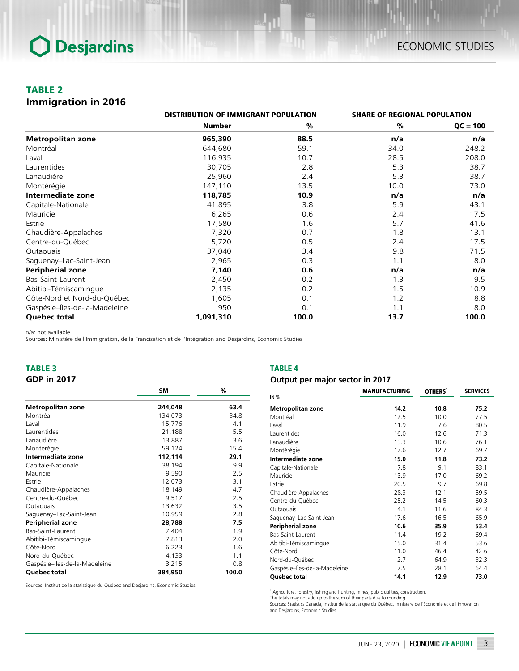## TABLE 2

### *Immigration in 2016*

|                               |               | <b>DISTRIBUTION OF IMMIGRANT POPULATION</b> |      | <b>SHARE OF REGIONAL POPULATION</b> |  |
|-------------------------------|---------------|---------------------------------------------|------|-------------------------------------|--|
|                               | <b>Number</b> | %                                           | %    | $QC = 100$                          |  |
| <b>Metropolitan zone</b>      | 965,390       | 88.5                                        | n/a  | n/a                                 |  |
| Montréal                      | 644,680       | 59.1                                        | 34.0 | 248.2                               |  |
| Laval                         | 116,935       | 10.7                                        | 28.5 | 208.0                               |  |
| Laurentides                   | 30,705        | 2.8                                         | 5.3  | 38.7                                |  |
| Lanaudière                    | 25,960        | 2.4                                         | 5.3  | 38.7                                |  |
| Montérégie                    | 147,110       | 13.5                                        | 10.0 | 73.0                                |  |
| Intermediate zone             | 118,785       | 10.9                                        | n/a  | n/a                                 |  |
| Capitale-Nationale            | 41,895        | 3.8                                         | 5.9  | 43.1                                |  |
| Mauricie                      | 6,265         | 0.6                                         | 2.4  | 17.5                                |  |
| Estrie                        | 17,580        | 1.6                                         | 5.7  | 41.6                                |  |
| Chaudière-Appalaches          | 7,320         | 0.7                                         | 1.8  | 13.1                                |  |
| Centre-du-Québec              | 5,720         | 0.5                                         | 2.4  | 17.5                                |  |
| Outaouais                     | 37,040        | 3.4                                         | 9.8  | 71.5                                |  |
| Saguenay-Lac-Saint-Jean       | 2,965         | 0.3                                         | 1.1  | 8.0                                 |  |
| <b>Peripherial zone</b>       | 7,140         | 0.6                                         | n/a  | n/a                                 |  |
| Bas-Saint-Laurent             | 2,450         | 0.2                                         | 1.3  | 9.5                                 |  |
| Abitibi-Témiscamingue         | 2,135         | 0.2                                         | 1.5  | 10.9                                |  |
| Côte-Nord et Nord-du-Québec   | 1,605         | 0.1                                         | 1.2  | 8.8                                 |  |
| Gaspésie-Îles-de-la-Madeleine | 950           | 0.1                                         | 1.1  | 8.0                                 |  |
| <b>Quebec total</b>           | 1,091,310     | 100.0                                       | 13.7 | 100.0                               |  |

n/a: not available

Sources: Ministère de l'Immigration, de la Francisation et de l'Intégration and Desjardins, Economic Studies

## TABLE 3

*GDP in 2017*

### TABLE 4

### *Output per major sector in 2017*

|                               | \$M     | $\%$  |
|-------------------------------|---------|-------|
| Metropolitan zone             | 244,048 | 63.4  |
| Montréal                      | 134,073 | 34.8  |
| Laval                         | 15,776  | 4.1   |
| Laurentides                   | 21,188  | 5.5   |
| Lanaudière                    | 13,887  | 3.6   |
| Montérégie                    | 59,124  | 15.4  |
| Intermediate zone             | 112,114 | 29.1  |
| Capitale-Nationale            | 38,194  | 9.9   |
| Mauricie                      | 9,590   | 2.5   |
| Estrie                        | 12,073  | 3.1   |
| Chaudière-Appalaches          | 18,149  | 4.7   |
| Centre-du-Québec              | 9,517   | 2.5   |
| Outaouais                     | 13,632  | 3.5   |
| Saguenay-Lac-Saint-Jean       | 10,959  | 2.8   |
| Peripherial zone              | 28,788  | 7.5   |
| Bas-Saint-Laurent             | 7,404   | 1.9   |
| Abitibi-Témiscamingue         | 7,813   | 2.0   |
| Côte-Nord                     | 6,223   | 1.6   |
| Nord-du-Québec                | 4,133   | 1.1   |
| Gaspésie-Îles-de-la-Madeleine | 3,215   | 0.8   |
| <b>Ouebec total</b>           | 384,950 | 100.0 |

Sources: Institut de la statistique du Québec and Desjardins, Economic Studies

MANUFACTURING OTHERS<sup>1</sup> SERVICES *Metropolitan zone 14.2 10.8 75.2* Montréal 12.5 10.0 77.5 Laval 11.9 7.6 80.5 Laurentides 16.0 12.6 71.3 Lanaudière 13.3 10.6 76.1 Montérégie 17.6 12.7 69.7 *Intermediate zone 15.0 11.8 73.2* Capitale-Nationale 7.8 9.1 83.1 Mauricie 13.9 17.0 69.2 Estrie 20.5 9.7 69.8 Chaudière-Appalaches 28.3 12.1 59.5 Centre-du-Québec 25.2 14.5 60.3 Outaouais 4.1 11.6 84.3 Saguenay–Lac-Saint-Jean *Peripherial zone 10.6 35.9 53.4* Bas-Saint-Laurent 11.4 19.2 69.4 Abitibi-Témiscamingue 15.0 31.4 53.6 Côte-Nord 11.0 46.4 42.6 Nord-du-Québec 2.7 64.9 32.3 Gaspésie–Îles-de-la-Madeleine 7.5 28.1 64.4 *Quebec total 14.1 12.9 73.0* IN %

<sup>1</sup> Agriculture, forestry, fishing and hunting, mines, public utilities, construction.

The totals may not add up to the sum of their parts due to rounding. Sources: Statistics Canada, Institut de la statistique du Québec, ministère de l'Économie et de l'Innovation and Desjardins, Economic Studies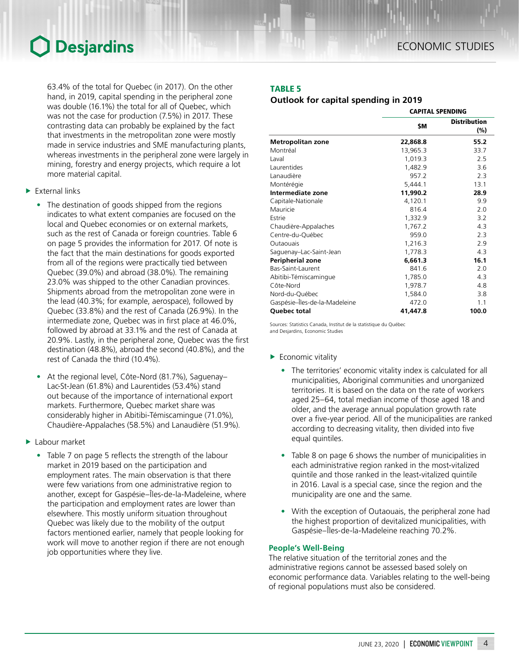63.4% of the total for Quebec (in 2017). On the other hand, in 2019, capital spending in the peripheral zone was double (16.1%) the total for all of Quebec, which was not the case for production (7.5%) in 2017. These contrasting data can probably be explained by the fact that investments in the metropolitan zone were mostly made in service industries and SME manufacturing plants, whereas investments in the peripheral zone were largely in mining, forestry and energy projects, which require a lot more material capital.

- $\blacktriangleright$  External links
	- The destination of goods shipped from the regions indicates to what extent companies are focused on the local and Quebec economies or on external markets, such as the rest of Canada or foreign countries. Table 6 on page 5 provides the information for 2017. Of note is the fact that the main destinations for goods exported from all of the regions were practically tied between Quebec (39.0%) and abroad (38.0%). The remaining 23.0% was shipped to the other Canadian provinces. Shipments abroad from the metropolitan zone were in the lead (40.3%; for example, aerospace), followed by Quebec (33.8%) and the rest of Canada (26.9%). In the intermediate zone, Quebec was in first place at 46.0%, followed by abroad at 33.1% and the rest of Canada at 20.9%. Lastly, in the peripheral zone, Quebec was the first destination (48.8%), abroad the second (40.8%), and the rest of Canada the third (10.4%).
	- At the regional level, Côte-Nord (81.7%), Saguenay– Lac-St-Jean (61.8%) and Laurentides (53.4%) stand out because of the importance of international export markets. Furthermore, Quebec market share was considerably higher in Abitibi-Témiscamingue (71.0%), Chaudière-Appalaches (58.5%) and Lanaudière (51.9%).
- $\blacktriangleright$  Labour market
	- Table 7 on page 5 reflects the strength of the labour market in 2019 based on the participation and employment rates. The main observation is that there were few variations from one administrative region to another, except for Gaspésie–Îles-de-la-Madeleine, where the participation and employment rates are lower than elsewhere. This mostly uniform situation throughout Quebec was likely due to the mobility of the output factors mentioned earlier, namely that people looking for work will move to another region if there are not enough job opportunities where they live.

## TABLE 5

## *Outlook for capital spending in 2019*

|                               | <b>CAPITAL SPENDING</b> |                            |  |
|-------------------------------|-------------------------|----------------------------|--|
|                               | \$M                     | <b>Distribution</b><br>(%) |  |
| <b>Metropolitan zone</b>      | 22,868.8                | 55.2                       |  |
| Montréal                      | 13,965.3                | 33.7                       |  |
| Laval                         | 1,019.3                 | 2.5                        |  |
| Laurentides                   | 1,482.9                 | 3.6                        |  |
| Lanaudière                    | 957.2                   | 2.3                        |  |
| Montérégie                    | 5,444.1                 | 13.1                       |  |
| Intermediate zone             | 11,990.2                | 28.9                       |  |
| Capitale-Nationale            | 4,120.1                 | 9.9                        |  |
| Mauricie                      | 816.4                   | 2.0                        |  |
| Estrie                        | 1,332.9                 | 3.2                        |  |
| Chaudière-Appalaches          | 1,767.2                 | 4.3                        |  |
| Centre-du-Québec              | 959.0                   | 2.3                        |  |
| Outaouais                     | 1,216.3                 | 2.9                        |  |
| Saguenay-Lac-Saint-Jean       | 1,778.3                 | 4.3                        |  |
| Peripherial zone              | 6,661.3                 | 16.1                       |  |
| Bas-Saint-Laurent             | 841.6                   | 2.0                        |  |
| Abitibi-Témiscamingue         | 1,785.0                 | 4.3                        |  |
| Côte-Nord                     | 1,978.7                 | 4.8                        |  |
| Nord-du-Québec                | 1,584.0                 | 3.8                        |  |
| Gaspésie-Îles-de-la-Madeleine | 472.0                   | 1.1                        |  |
| Quebec total                  | 41,447.8                | 100.0                      |  |

Sources: Statistics Canada, Institut de la statistique du Québec and Desjardins, Economic Studies

- $\blacktriangleright$  Economic vitality
	- The territories' economic vitality index is calculated for all municipalities, Aboriginal communities and unorganized territories. It is based on the data on the rate of workers aged 25–64, total median income of those aged 18 and older, and the average annual population growth rate over a five-year period. All of the municipalities are ranked according to decreasing vitality, then divided into five equal quintiles.
	- Table 8 on page 6 shows the number of municipalities in each administrative region ranked in the most-vitalized quintile and those ranked in the least-vitalized quintile in 2016. Laval is a special case, since the region and the municipality are one and the same.
	- With the exception of Outaouais, the peripheral zone had the highest proportion of devitalized municipalities, with Gaspésie–Îles-de-la-Madeleine reaching 70.2%.

#### **People's Well-Being**

The relative situation of the territorial zones and the administrative regions cannot be assessed based solely on economic performance data. Variables relating to the well-being of regional populations must also be considered.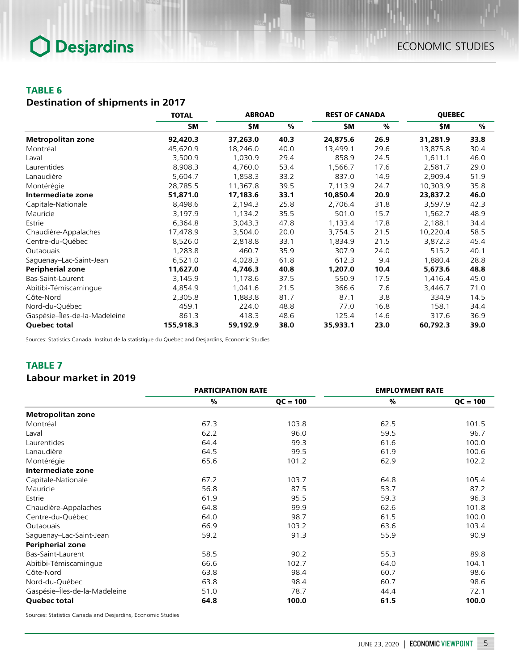## TABLE 6

## *Destination of shipments in 2017*

|                               | <b>TOTAL</b> | <b>ABROAD</b> |      | <b>REST OF CANADA</b> |      | <b>QUEBEC</b> |      |
|-------------------------------|--------------|---------------|------|-----------------------|------|---------------|------|
|                               | \$Μ          | \$M           | $\%$ | \$M                   | %    | \$M           | $\%$ |
| <b>Metropolitan zone</b>      | 92,420.3     | 37,263.0      | 40.3 | 24,875.6              | 26.9 | 31,281.9      | 33.8 |
| Montréal                      | 45,620.9     | 18,246.0      | 40.0 | 13,499.1              | 29.6 | 13,875.8      | 30.4 |
| Laval                         | 3,500.9      | 1,030.9       | 29.4 | 858.9                 | 24.5 | 1,611.1       | 46.0 |
| Laurentides                   | 8,908.3      | 4,760.0       | 53.4 | 1,566.7               | 17.6 | 2,581.7       | 29.0 |
| Lanaudière                    | 5,604.7      | 1,858.3       | 33.2 | 837.0                 | 14.9 | 2,909.4       | 51.9 |
| Montérégie                    | 28,785.5     | 11,367.8      | 39.5 | 7,113.9               | 24.7 | 10,303.9      | 35.8 |
| Intermediate zone             | 51,871.0     | 17,183.6      | 33.1 | 10,850.4              | 20.9 | 23,837.2      | 46.0 |
| Capitale-Nationale            | 8,498.6      | 2,194.3       | 25.8 | 2,706.4               | 31.8 | 3,597.9       | 42.3 |
| Mauricie                      | 3,197.9      | 1,134.2       | 35.5 | 501.0                 | 15.7 | 1,562.7       | 48.9 |
| Estrie                        | 6,364.8      | 3,043.3       | 47.8 | 1,133.4               | 17.8 | 2,188.1       | 34.4 |
| Chaudière-Appalaches          | 17,478.9     | 3,504.0       | 20.0 | 3,754.5               | 21.5 | 10,220.4      | 58.5 |
| Centre-du-Québec              | 8,526.0      | 2,818.8       | 33.1 | 1,834.9               | 21.5 | 3,872.3       | 45.4 |
| <b>Outaouais</b>              | 1,283.8      | 460.7         | 35.9 | 307.9                 | 24.0 | 515.2         | 40.1 |
| Saguenay-Lac-Saint-Jean       | 6,521.0      | 4,028.3       | 61.8 | 612.3                 | 9.4  | 1,880.4       | 28.8 |
| <b>Peripherial zone</b>       | 11,627.0     | 4,746.3       | 40.8 | 1,207.0               | 10.4 | 5,673.6       | 48.8 |
| Bas-Saint-Laurent             | 3,145.9      | 1,178.6       | 37.5 | 550.9                 | 17.5 | 1,416.4       | 45.0 |
| Abitibi-Témiscamingue         | 4,854.9      | 1,041.6       | 21.5 | 366.6                 | 7.6  | 3,446.7       | 71.0 |
| Côte-Nord                     | 2,305.8      | 1,883.8       | 81.7 | 87.1                  | 3.8  | 334.9         | 14.5 |
| Nord-du-Québec                | 459.1        | 224.0         | 48.8 | 77.0                  | 16.8 | 158.1         | 34.4 |
| Gaspésie-Îles-de-la-Madeleine | 861.3        | 418.3         | 48.6 | 125.4                 | 14.6 | 317.6         | 36.9 |
| Quebec total                  | 155,918.3    | 59,192.9      | 38.0 | 35,933.1              | 23.0 | 60,792.3      | 39.0 |

Sources: Statistics Canada, Institut de la statistique du Québec and Desjardins, Economic Studies

## TABLE 7

## *Labour market in 2019*

|                               | <b>PARTICIPATION RATE</b> |            | <b>EMPLOYMENT RATE</b> |            |
|-------------------------------|---------------------------|------------|------------------------|------------|
|                               | %                         | $QC = 100$ | $\frac{9}{6}$          | $QC = 100$ |
| <b>Metropolitan zone</b>      |                           |            |                        |            |
| Montréal                      | 67.3                      | 103.8      | 62.5                   | 101.5      |
| Laval                         | 62.2                      | 96.0       | 59.5                   | 96.7       |
| Laurentides                   | 64.4                      | 99.3       | 61.6                   | 100.0      |
| Lanaudière                    | 64.5                      | 99.5       | 61.9                   | 100.6      |
| Montérégie                    | 65.6                      | 101.2      | 62.9                   | 102.2      |
| Intermediate zone             |                           |            |                        |            |
| Capitale-Nationale            | 67.2                      | 103.7      | 64.8                   | 105.4      |
| Mauricie                      | 56.8                      | 87.5       | 53.7                   | 87.2       |
| Estrie                        | 61.9                      | 95.5       | 59.3                   | 96.3       |
| Chaudière-Appalaches          | 64.8                      | 99.9       | 62.6                   | 101.8      |
| Centre-du-Québec              | 64.0                      | 98.7       | 61.5                   | 100.0      |
| <b>Outaouais</b>              | 66.9                      | 103.2      | 63.6                   | 103.4      |
| Saguenay-Lac-Saint-Jean       | 59.2                      | 91.3       | 55.9                   | 90.9       |
| <b>Peripherial zone</b>       |                           |            |                        |            |
| Bas-Saint-Laurent             | 58.5                      | 90.2       | 55.3                   | 89.8       |
| Abitibi-Témiscamingue         | 66.6                      | 102.7      | 64.0                   | 104.1      |
| Côte-Nord                     | 63.8                      | 98.4       | 60.7                   | 98.6       |
| Nord-du-Québec                | 63.8                      | 98.4       | 60.7                   | 98.6       |
| Gaspésie-Îles-de-la-Madeleine | 51.0                      | 78.7       | 44.4                   | 72.1       |
| Quebec total                  | 64.8                      | 100.0      | 61.5                   | 100.0      |

Sources: Statistics Canada and Desjardins, Economic Studies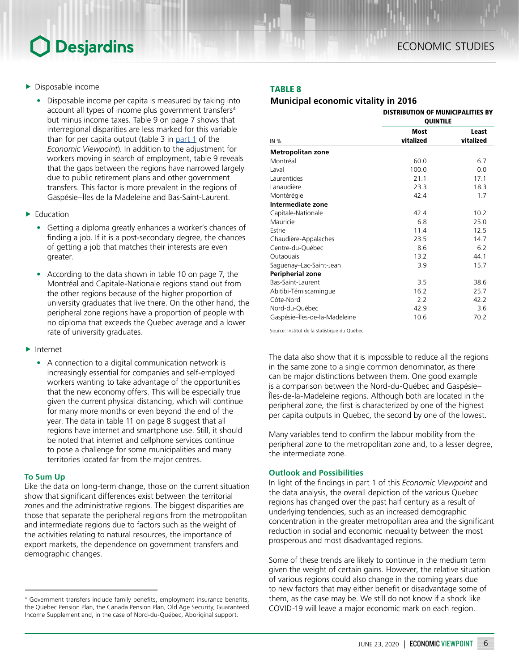- $\blacktriangleright$  Disposable income
	- Disposable income per capita is measured by taking into account all types of income plus government transfers<sup>4</sup> but minus income taxes. Table 9 on page 7 shows that interregional disparities are less marked for this variable than for per capita output (table 3 in  $part 1$  of the *Economic Viewpoint*). In addition to the adjustment for workers moving in search of employment, table 9 reveals that the gaps between the regions have narrowed largely due to public retirement plans and other government transfers. This factor is more prevalent in the regions of Gaspésie–Îles de la Madeleine and Bas-Saint-Laurent.
- $\blacktriangleright$  Education
	- Getting a diploma greatly enhances a worker's chances of finding a job. If it is a post-secondary degree, the chances of getting a job that matches their interests are even greater.
	- According to the data shown in table 10 on page 7, the Montréal and Capitale-Nationale regions stand out from the other regions because of the higher proportion of university graduates that live there. On the other hand, the peripheral zone regions have a proportion of people with no diploma that exceeds the Quebec average and a lower rate of university graduates.

 $\blacktriangleright$  Internet

• A connection to a digital communication network is increasingly essential for companies and self-employed workers wanting to take advantage of the opportunities that the new economy offers. This will be especially true given the current physical distancing, which will continue for many more months or even beyond the end of the year. The data in table 11 on page 8 suggest that all regions have internet and smartphone use. Still, it should be noted that internet and cellphone services continue to pose a challenge for some municipalities and many territories located far from the major centres.

### **To Sum Up**

Like the data on long-term change, those on the current situation show that significant differences exist between the territorial zones and the administrative regions. The biggest disparities are those that separate the peripheral regions from the metropolitan and intermediate regions due to factors such as the weight of the activities relating to natural resources, the importance of export markets, the dependence on government transfers and demographic changes.

## TABLE 8

## *Municipal economic vitality in 2016*

|                               | <b>DISTRIBUTION OF MUNICIPALITIES BY</b><br><b>QUINTILE</b> |           |  |  |
|-------------------------------|-------------------------------------------------------------|-----------|--|--|
|                               | <b>Most</b>                                                 | Least     |  |  |
| IN %                          | vitalized                                                   | vitalized |  |  |
| <b>Metropolitan zone</b>      |                                                             |           |  |  |
| Montréal                      | 60.0                                                        | 6.7       |  |  |
| Laval                         | 100.0                                                       | 0.0       |  |  |
| Laurentides                   | 21.1                                                        | 17.1      |  |  |
| Lanaudière                    | 23.3                                                        | 18.3      |  |  |
| Montérégie                    | 42.4                                                        | 1.7       |  |  |
| Intermediate zone             |                                                             |           |  |  |
| Capitale-Nationale            | 42.4                                                        | 10.2      |  |  |
| Mauricie                      | 6.8                                                         | 25.0      |  |  |
| Estrie                        | 11.4                                                        | 12.5      |  |  |
| Chaudière-Appalaches          | 23.5                                                        | 14.7      |  |  |
| Centre-du-Québec              | 8.6                                                         | 6.2       |  |  |
| Outaouais                     | 13.2                                                        | 44.1      |  |  |
| Saguenay-Lac-Saint-Jean       | 3.9                                                         | 15.7      |  |  |
| Peripherial zone              |                                                             |           |  |  |
| Bas-Saint-Laurent             | 3.5                                                         | 38.6      |  |  |
| Abitibi-Témiscamingue         | 16.2                                                        | 25.7      |  |  |
| Côte-Nord                     | 2.2                                                         | 42.2      |  |  |
| Nord-du-Québec                | 42.9                                                        | 3.6       |  |  |
| Gaspésie-Îles-de-la-Madeleine | 10.6                                                        | 70.2      |  |  |

Source: Institut de la statistique du Québec

The data also show that it is impossible to reduce all the regions in the same zone to a single common denominator, as there can be major distinctions between them. One good example is a comparison between the Nord-du-Québec and Gaspésie– Îles-de-la-Madeleine regions. Although both are located in the peripheral zone, the first is characterized by one of the highest per capita outputs in Quebec, the second by one of the lowest.

Many variables tend to confirm the labour mobility from the peripheral zone to the metropolitan zone and, to a lesser degree, the intermediate zone.

### **Outlook and Possibilities**

In light of the findings in part 1 of this *Economic Viewpoint* and the data analysis, the overall depiction of the various Quebec regions has changed over the past half century as a result of underlying tendencies, such as an increased demographic concentration in the greater metropolitan area and the significant reduction in social and economic inequality between the most prosperous and most disadvantaged regions.

Some of these trends are likely to continue in the medium term given the weight of certain gains. However, the relative situation of various regions could also change in the coming years due to new factors that may either benefit or disadvantage some of them, as the case may be. We still do not know if a shock like COVID-19 will leave a major economic mark on each region.

<sup>4</sup> Government transfers include family benefits, employment insurance benefits, the Quebec Pension Plan, the Canada Pension Plan, Old Age Security, Guaranteed Income Supplement and, in the case of Nord-du-Québec, Aboriginal support.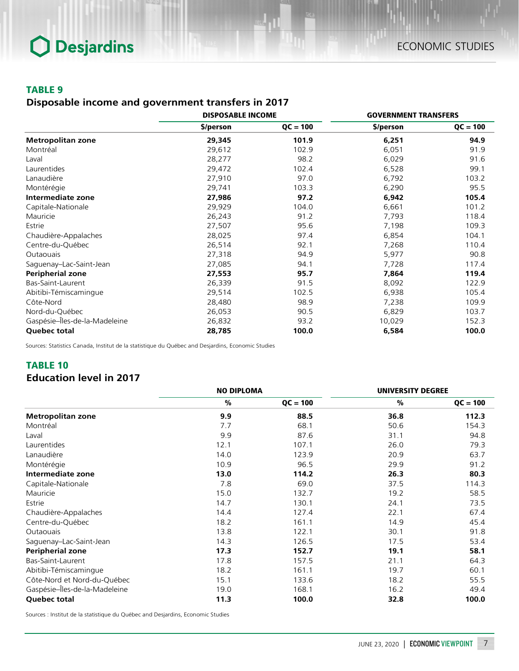## TABLE 9

## *Disposable income and government transfers in 2017*

|                               | <b>DISPOSABLE INCOME</b> |            | <b>GOVERNMENT TRANSFERS</b> |            |
|-------------------------------|--------------------------|------------|-----------------------------|------------|
|                               | \$/person                | $QC = 100$ | \$/person                   | $QC = 100$ |
| <b>Metropolitan zone</b>      | 29,345                   | 101.9      | 6,251                       | 94.9       |
| Montréal                      | 29,612                   | 102.9      | 6,051                       | 91.9       |
| Laval                         | 28,277                   | 98.2       | 6,029                       | 91.6       |
| Laurentides                   | 29,472                   | 102.4      | 6,528                       | 99.1       |
| Lanaudière                    | 27,910                   | 97.0       | 6,792                       | 103.2      |
| Montérégie                    | 29,741                   | 103.3      | 6,290                       | 95.5       |
| Intermediate zone             | 27,986                   | 97.2       | 6,942                       | 105.4      |
| Capitale-Nationale            | 29,929                   | 104.0      | 6,661                       | 101.2      |
| Mauricie                      | 26,243                   | 91.2       | 7,793                       | 118.4      |
| Estrie                        | 27,507                   | 95.6       | 7,198                       | 109.3      |
| Chaudière-Appalaches          | 28,025                   | 97.4       | 6,854                       | 104.1      |
| Centre-du-Québec              | 26,514                   | 92.1       | 7,268                       | 110.4      |
| Outaouais                     | 27,318                   | 94.9       | 5,977                       | 90.8       |
| Saguenay-Lac-Saint-Jean       | 27,085                   | 94.1       | 7,728                       | 117.4      |
| <b>Peripherial zone</b>       | 27,553                   | 95.7       | 7,864                       | 119.4      |
| Bas-Saint-Laurent             | 26,339                   | 91.5       | 8,092                       | 122.9      |
| Abitibi-Témiscamingue         | 29,514                   | 102.5      | 6,938                       | 105.4      |
| Côte-Nord                     | 28,480                   | 98.9       | 7,238                       | 109.9      |
| Nord-du-Québec                | 26,053                   | 90.5       | 6,829                       | 103.7      |
| Gaspésie-Îles-de-la-Madeleine | 26,832                   | 93.2       | 10,029                      | 152.3      |
| <b>Quebec total</b>           | 28,785                   | 100.0      | 6,584                       | 100.0      |

Sources: Statistics Canada, Institut de la statistique du Québec and Desjardins, Economic Studies

## TABLE 10

## *Education level in 2017*

|                               | <b>NO DIPLOMA</b> |            | <b>UNIVERSITY DEGREE</b> |            |
|-------------------------------|-------------------|------------|--------------------------|------------|
|                               | $\frac{0}{0}$     | $QC = 100$ | $\frac{0}{0}$            | $QC = 100$ |
| <b>Metropolitan zone</b>      | 9.9               | 88.5       | 36.8                     | 112.3      |
| Montréal                      | 7.7               | 68.1       | 50.6                     | 154.3      |
| Laval                         | 9.9               | 87.6       | 31.1                     | 94.8       |
| Laurentides                   | 12.1              | 107.1      | 26.0                     | 79.3       |
| Lanaudière                    | 14.0              | 123.9      | 20.9                     | 63.7       |
| Montérégie                    | 10.9              | 96.5       | 29.9                     | 91.2       |
| Intermediate zone             | 13.0              | 114.2      | 26.3                     | 80.3       |
| Capitale-Nationale            | 7.8               | 69.0       | 37.5                     | 114.3      |
| Mauricie                      | 15.0              | 132.7      | 19.2                     | 58.5       |
| Estrie                        | 14.7              | 130.1      | 24.1                     | 73.5       |
| Chaudière-Appalaches          | 14.4              | 127.4      | 22.1                     | 67.4       |
| Centre-du-Québec              | 18.2              | 161.1      | 14.9                     | 45.4       |
| Outaouais                     | 13.8              | 122.1      | 30.1                     | 91.8       |
| Saguenay-Lac-Saint-Jean       | 14.3              | 126.5      | 17.5                     | 53.4       |
| <b>Peripherial zone</b>       | 17.3              | 152.7      | 19.1                     | 58.1       |
| Bas-Saint-Laurent             | 17.8              | 157.5      | 21.1                     | 64.3       |
| Abitibi-Témiscamingue         | 18.2              | 161.1      | 19.7                     | 60.1       |
| Côte-Nord et Nord-du-Québec   | 15.1              | 133.6      | 18.2                     | 55.5       |
| Gaspésie-Îles-de-la-Madeleine | 19.0              | 168.1      | 16.2                     | 49.4       |
| <b>Quebec total</b>           | 11.3              | 100.0      | 32.8                     | 100.0      |

Sources : Institut de la statistique du Québec and Desjardins, Economic Studies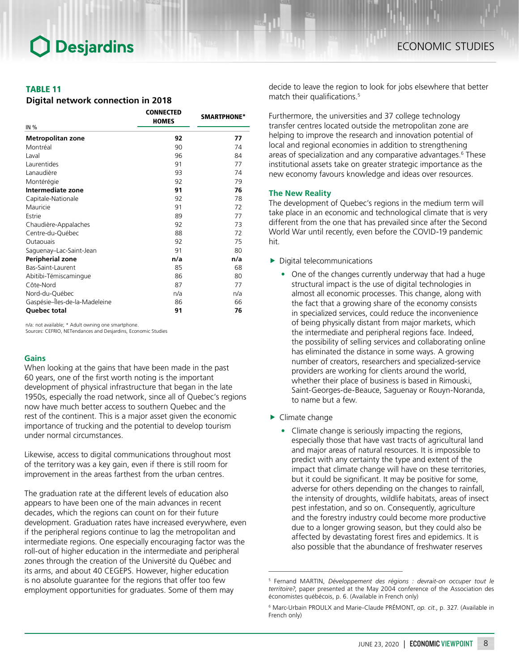### TABLE 11

#### *Digital network connection in 2018*

| IN%                           | <b>CONNECTED</b><br><b>HOMES</b> | SMARTPHONE* |
|-------------------------------|----------------------------------|-------------|
| <b>Metropolitan zone</b>      | 92                               | 77          |
| Montréal                      | 90                               | 74          |
| Laval                         | 96                               | 84          |
| Laurentides                   | 91                               | 77          |
| Lanaudière                    | 93                               | 74          |
| Montérégie                    | 92                               | 79          |
| Intermediate zone             | 91                               | 76          |
| Capitale-Nationale            | 92                               | 78          |
| Mauricie                      | 91                               | 72          |
| Estrie                        | 89                               | 77          |
| Chaudière-Appalaches          | 92                               | 73          |
| Centre-du-Québec              | 88                               | 72          |
| Outaouais                     | 92                               | 75          |
| Saguenay-Lac-Saint-Jean       | 91                               | 80          |
| Peripherial zone              | n/a                              | n/a         |
| Bas-Saint-Laurent             | 85                               | 68          |
| Abitibi-Témiscamingue         | 86                               | 80          |
| Côte-Nord                     | 87                               | 77          |
| Nord-du-Québec                | n/a                              | n/a         |
| Gaspésie-Îles-de-la-Madeleine | 86                               | 66          |
| Quebec total                  | 91                               | 76          |

n/a: not available; \* Adult owning one smartphone.

Sources: CEFRIO, NETendances and Desjardins, Economic Studies

### **Gains**

When looking at the gains that have been made in the past 60 years, one of the first worth noting is the important development of physical infrastructure that began in the late 1950s, especially the road network, since all of Quebec's regions now have much better access to southern Quebec and the rest of the continent. This is a major asset given the economic importance of trucking and the potential to develop tourism under normal circumstances.

Likewise, access to digital communications throughout most of the territory was a key gain, even if there is still room for improvement in the areas farthest from the urban centres.

The graduation rate at the different levels of education also appears to have been one of the main advances in recent decades, which the regions can count on for their future development. Graduation rates have increased everywhere, even if the peripheral regions continue to lag the metropolitan and intermediate regions. One especially encouraging factor was the roll-out of higher education in the intermediate and peripheral zones through the creation of the Université du Québec and its arms, and about 40 CEGEPS. However, higher education is no absolute guarantee for the regions that offer too few employment opportunities for graduates. Some of them may

decide to leave the region to look for jobs elsewhere that better match their qualifications.<sup>5</sup>

Furthermore, the universities and 37 college technology transfer centres located outside the metropolitan zone are helping to improve the research and innovation potential of local and regional economies in addition to strengthening areas of specialization and any comparative advantages.<sup>6</sup> These institutional assets take on greater strategic importance as the new economy favours knowledge and ideas over resources.

#### **The New Reality**

The development of Quebec's regions in the medium term will take place in an economic and technological climate that is very different from the one that has prevailed since after the Second World War until recently, even before the COVID-19 pandemic hit.

- $\blacktriangleright$  Digital telecommunications
	- One of the changes currently underway that had a huge structural impact is the use of digital technologies in almost all economic processes. This change, along with the fact that a growing share of the economy consists in specialized services, could reduce the inconvenience of being physically distant from major markets, which the intermediate and peripheral regions face. Indeed, the possibility of selling services and collaborating online has eliminated the distance in some ways. A growing number of creators, researchers and specialized-service providers are working for clients around the world, whether their place of business is based in Rimouski, Saint-Georges-de-Beauce, Saguenay or Rouyn-Noranda, to name but a few.
- $\blacktriangleright$  Climate change
	- Climate change is seriously impacting the regions, especially those that have vast tracts of agricultural land and major areas of natural resources. It is impossible to predict with any certainty the type and extent of the impact that climate change will have on these territories, but it could be significant. It may be positive for some, adverse for others depending on the changes to rainfall, the intensity of droughts, wildlife habitats, areas of insect pest infestation, and so on. Consequently, agriculture and the forestry industry could become more productive due to a longer growing season, but they could also be affected by devastating forest fires and epidemics. It is also possible that the abundance of freshwater reserves

<sup>5</sup> Fernand MARTIN, *Développement des régions : devrait-on occuper tout le territoire?*, paper presented at the May 2004 conference of the Association des économistes québécois, p. 6. (Available in French only)

<sup>6</sup> Marc-Urbain PROULX and Marie-Claude PRÉMONT, *op. cit.*, p. 327. (Available in French only)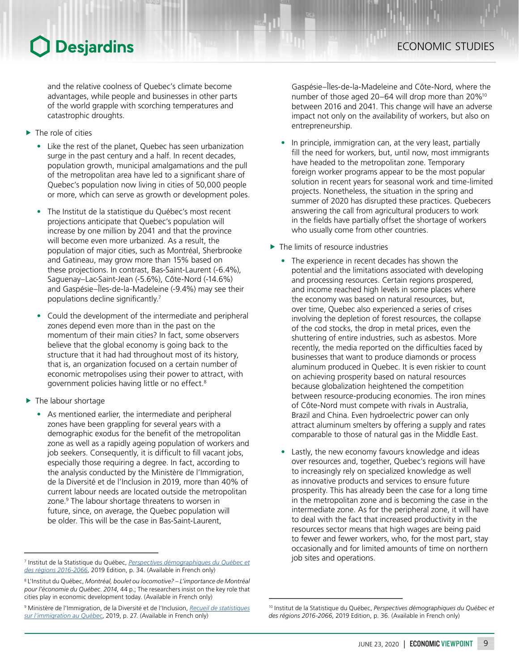and the relative coolness of Quebec's climate become advantages, while people and businesses in other parts of the world grapple with scorching temperatures and catastrophic droughts.

- $\blacktriangleright$  The role of cities
	- Like the rest of the planet, Quebec has seen urbanization surge in the past century and a half. In recent decades, population growth, municipal amalgamations and the pull of the metropolitan area have led to a significant share of Quebec's population now living in cities of 50,000 people or more, which can serve as growth or development poles.
	- The Institut de la statistique du Québec's most recent projections anticipate that Quebec's population will increase by one million by 2041 and that the province will become even more urbanized. As a result, the population of major cities, such as Montréal, Sherbrooke and Gatineau, may grow more than 15% based on these projections. In contrast, Bas-Saint-Laurent (-6.4%), Saguenay–Lac-Saint-Jean (-5.6%), Côte-Nord (-14.6%) and Gaspésie–Îles-de-la-Madeleine (-9.4%) may see their populations decline significantly.<sup>7</sup>
	- Could the development of the intermediate and peripheral zones depend even more than in the past on the momentum of their main cities? In fact, some observers believe that the global economy is going back to the structure that it had had throughout most of its history, that is, an organization focused on a certain number of economic metropolises using their power to attract, with government policies having little or no effect.8
- $\blacktriangleright$  The labour shortage
	- As mentioned earlier, the intermediate and peripheral zones have been grappling for several years with a demographic exodus for the benefit of the metropolitan zone as well as a rapidly ageing population of workers and job seekers. Consequently, it is difficult to fill vacant jobs, especially those requiring a degree. In fact, according to the analysis conducted by the Ministère de l'Immigration, de la Diversité et de l'Inclusion in 2019, more than 40% of current labour needs are located outside the metropolitan zone.<sup>9</sup> The labour shortage threatens to worsen in future, since, on average, the Quebec population will be older. This will be the case in Bas-Saint-Laurent,

9 Ministère de l'Immigration, de la Diversité et de l'Inclusion, *[Recueil de statistiques](http://www.mifi.gouv.qc.ca/publications/fr/planification/BRO_RecueilStat_PlanificationImmigration.pdf)  [sur l'immigration au Québec](http://www.mifi.gouv.qc.ca/publications/fr/planification/BRO_RecueilStat_PlanificationImmigration.pdf)*, 2019, p. 27. (Available in French only)

Gaspésie–Îles-de-la-Madeleine and Côte-Nord, where the number of those aged 20–64 will drop more than 20%10 between 2016 and 2041. This change will have an adverse impact not only on the availability of workers, but also on entrepreneurship.

- In principle, immigration can, at the very least, partially fill the need for workers, but, until now, most immigrants have headed to the metropolitan zone. Temporary foreign worker programs appear to be the most popular solution in recent years for seasonal work and time-limited projects. Nonetheless, the situation in the spring and summer of 2020 has disrupted these practices. Quebecers answering the call from agricultural producers to work in the fields have partially offset the shortage of workers who usually come from other countries.
- $\blacktriangleright$  The limits of resource industries
	- The experience in recent decades has shown the potential and the limitations associated with developing and processing resources. Certain regions prospered, and income reached high levels in some places where the economy was based on natural resources, but, over time, Quebec also experienced a series of crises involving the depletion of forest resources, the collapse of the cod stocks, the drop in metal prices, even the shuttering of entire industries, such as asbestos. More recently, the media reported on the difficulties faced by businesses that want to produce diamonds or process aluminum produced in Quebec. It is even riskier to count on achieving prosperity based on natural resources because globalization heightened the competition between resource-producing economies. The iron mines of Côte-Nord must compete with rivals in Australia, Brazil and China. Even hydroelectric power can only attract aluminum smelters by offering a supply and rates comparable to those of natural gas in the Middle East.
	- Lastly, the new economy favours knowledge and ideas over resources and, together, Quebec's regions will have to increasingly rely on specialized knowledge as well as innovative products and services to ensure future prosperity. This has already been the case for a long time in the metropolitan zone and is becoming the case in the intermediate zone. As for the peripheral zone, it will have to deal with the fact that increased productivity in the resources sector means that high wages are being paid to fewer and fewer workers, who, for the most part, stay occasionally and for limited amounts of time on northern

job sites and operations. 7 Institut de la Statistique du Québec, *[Perspectives démographiques du Québec et](https://www.stat.gouv.qc.ca/statistiques/population-demographie/perspectives/perspectives-2016-2066.pdf)  [des régions 2016-2066](https://www.stat.gouv.qc.ca/statistiques/population-demographie/perspectives/perspectives-2016-2066.pdf)*, 2019 Edition, p. 34. (Available in French only)

<sup>8</sup> L'Institut du Québec, *Montréal, boulet ou locomotive? – L'importance de Montréal pour l'économie du Québec*. *2014*, 44 p.; The researchers insist on the key role that cities play in economic development today. (Available in French only)

<sup>10</sup> Institut de la Statistique du Québec, *Perspectives démographiques du Québec et des régions 2016-2066*, 2019 Edition, p. 36. (Available in French only)